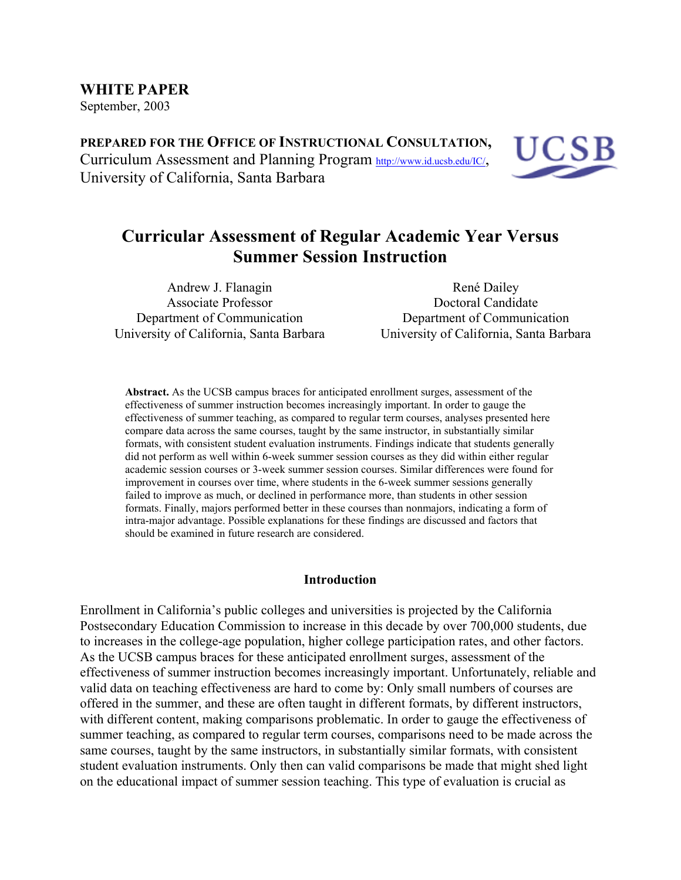September, 2003

**PREPARED FOR THE OFFICE OF INSTRUCTIONAL CONSULTATION,** Curriculum Assessment and Planning Program http://www.id.ucsb.edu/IC/, University of California, Santa Barbara



# **Curricular Assessment of Regular Academic Year Versus Summer Session Instruction**

Andrew J. Flanagin Associate Professor Department of Communication University of California, Santa Barbara

René Dailey Doctoral Candidate Department of Communication University of California, Santa Barbara

**Abstract.** As the UCSB campus braces for anticipated enrollment surges, assessment of the effectiveness of summer instruction becomes increasingly important. In order to gauge the effectiveness of summer teaching, as compared to regular term courses, analyses presented here compare data across the same courses, taught by the same instructor, in substantially similar formats, with consistent student evaluation instruments. Findings indicate that students generally did not perform as well within 6-week summer session courses as they did within either regular academic session courses or 3-week summer session courses. Similar differences were found for improvement in courses over time, where students in the 6-week summer sessions generally failed to improve as much, or declined in performance more, than students in other session formats. Finally, majors performed better in these courses than nonmajors, indicating a form of intra-major advantage. Possible explanations for these findings are discussed and factors that should be examined in future research are considered.

## **Introduction**

Enrollment in California's public colleges and universities is projected by the California Postsecondary Education Commission to increase in this decade by over 700,000 students, due to increases in the college-age population, higher college participation rates, and other factors. As the UCSB campus braces for these anticipated enrollment surges, assessment of the effectiveness of summer instruction becomes increasingly important. Unfortunately, reliable and valid data on teaching effectiveness are hard to come by: Only small numbers of courses are offered in the summer, and these are often taught in different formats, by different instructors, with different content, making comparisons problematic. In order to gauge the effectiveness of summer teaching, as compared to regular term courses, comparisons need to be made across the same courses, taught by the same instructors, in substantially similar formats, with consistent student evaluation instruments. Only then can valid comparisons be made that might shed light on the educational impact of summer session teaching. This type of evaluation is crucial as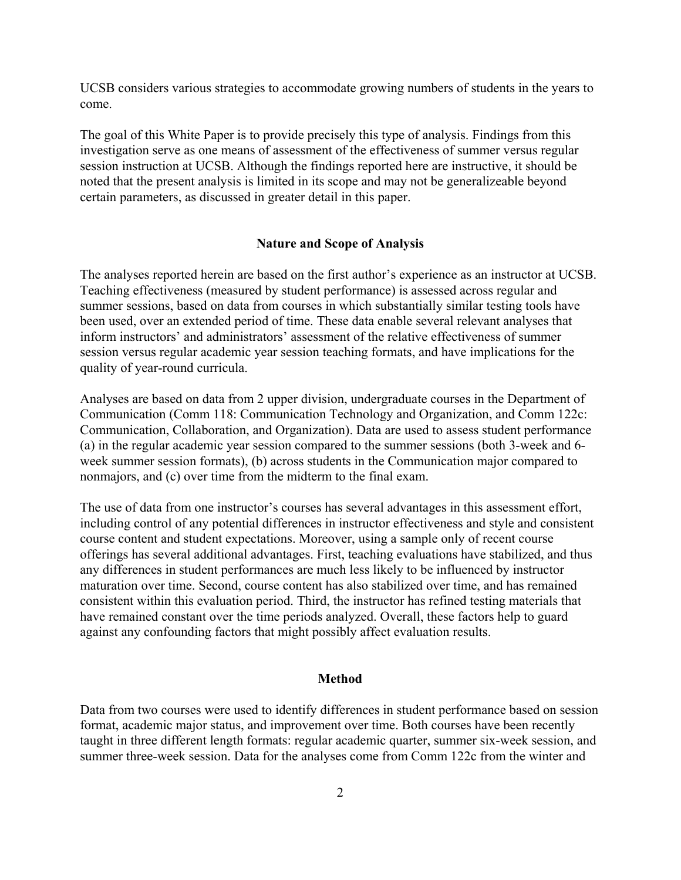UCSB considers various strategies to accommodate growing numbers of students in the years to come.

The goal of this White Paper is to provide precisely this type of analysis. Findings from this investigation serve as one means of assessment of the effectiveness of summer versus regular session instruction at UCSB. Although the findings reported here are instructive, it should be noted that the present analysis is limited in its scope and may not be generalizeable beyond certain parameters, as discussed in greater detail in this paper.

#### **Nature and Scope of Analysis**

The analyses reported herein are based on the first author's experience as an instructor at UCSB. Teaching effectiveness (measured by student performance) is assessed across regular and summer sessions, based on data from courses in which substantially similar testing tools have been used, over an extended period of time. These data enable several relevant analyses that inform instructors' and administrators' assessment of the relative effectiveness of summer session versus regular academic year session teaching formats, and have implications for the quality of year-round curricula.

Analyses are based on data from 2 upper division, undergraduate courses in the Department of Communication (Comm 118: Communication Technology and Organization, and Comm 122c: Communication, Collaboration, and Organization). Data are used to assess student performance (a) in the regular academic year session compared to the summer sessions (both 3-week and 6 week summer session formats), (b) across students in the Communication major compared to nonmajors, and (c) over time from the midterm to the final exam.

The use of data from one instructor's courses has several advantages in this assessment effort, including control of any potential differences in instructor effectiveness and style and consistent course content and student expectations. Moreover, using a sample only of recent course offerings has several additional advantages. First, teaching evaluations have stabilized, and thus any differences in student performances are much less likely to be influenced by instructor maturation over time. Second, course content has also stabilized over time, and has remained consistent within this evaluation period. Third, the instructor has refined testing materials that have remained constant over the time periods analyzed. Overall, these factors help to guard against any confounding factors that might possibly affect evaluation results.

#### **Method**

Data from two courses were used to identify differences in student performance based on session format, academic major status, and improvement over time. Both courses have been recently taught in three different length formats: regular academic quarter, summer six-week session, and summer three-week session. Data for the analyses come from Comm 122c from the winter and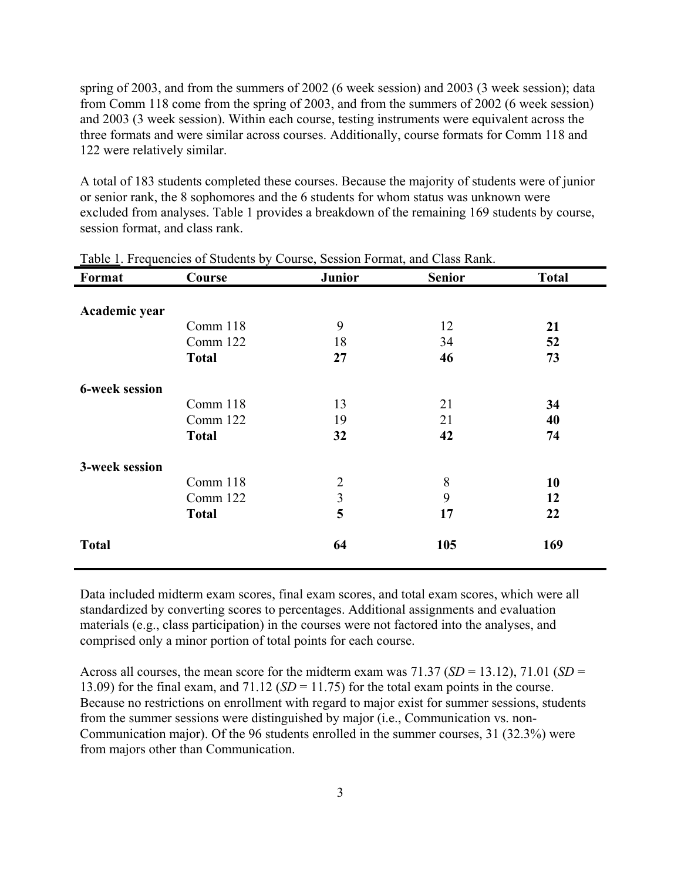spring of 2003, and from the summers of 2002 (6 week session) and 2003 (3 week session); data from Comm 118 come from the spring of 2003, and from the summers of 2002 (6 week session) and 2003 (3 week session). Within each course, testing instruments were equivalent across the three formats and were similar across courses. Additionally, course formats for Comm 118 and 122 were relatively similar.

A total of 183 students completed these courses. Because the majority of students were of junior or senior rank, the 8 sophomores and the 6 students for whom status was unknown were excluded from analyses. Table 1 provides a breakdown of the remaining 169 students by course, session format, and class rank.

| Format                | Course       | <b>Junior</b>  | <b>Senior</b> | <b>Total</b> |
|-----------------------|--------------|----------------|---------------|--------------|
|                       |              |                |               |              |
| Academic year         |              |                |               |              |
|                       | Comm 118     | 9              | 12            | 21           |
|                       | Comm 122     | 18             | 34            | 52           |
|                       | <b>Total</b> | 27             | 46            | 73           |
| <b>6-week session</b> |              |                |               |              |
|                       | Comm 118     | 13             | 21            | 34           |
|                       | Comm 122     | 19             | 21            | 40           |
|                       | <b>Total</b> | 32             | 42            | 74           |
| 3-week session        |              |                |               |              |
|                       | Comm 118     | $\overline{2}$ | 8             | 10           |
|                       | Comm 122     | 3              | 9             | 12           |
|                       | <b>Total</b> | 5              | 17            | 22           |
| <b>Total</b>          |              | 64             | 105           | 169          |

#### Table 1. Frequencies of Students by Course, Session Format, and Class Rank.

Data included midterm exam scores, final exam scores, and total exam scores, which were all standardized by converting scores to percentages. Additional assignments and evaluation materials (e.g., class participation) in the courses were not factored into the analyses, and comprised only a minor portion of total points for each course.

Across all courses, the mean score for the midterm exam was 71.37 (*SD* = 13.12), 71.01 (*SD* = 13.09) for the final exam, and  $71.12$  ( $SD = 11.75$ ) for the total exam points in the course. Because no restrictions on enrollment with regard to major exist for summer sessions, students from the summer sessions were distinguished by major (i.e., Communication vs. non-Communication major). Of the 96 students enrolled in the summer courses, 31 (32.3%) were from majors other than Communication.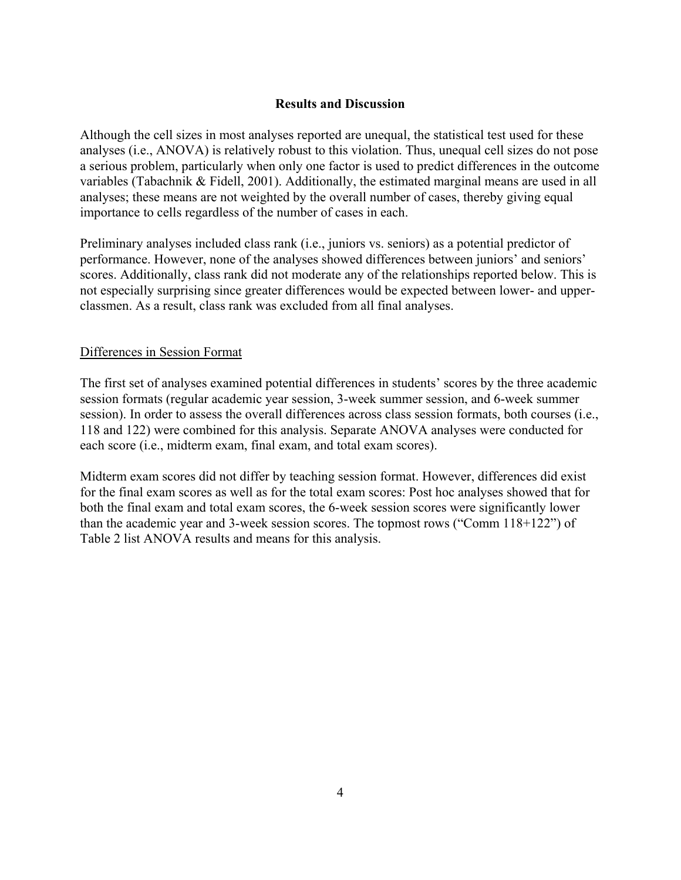## **Results and Discussion**

Although the cell sizes in most analyses reported are unequal, the statistical test used for these analyses (i.e., ANOVA) is relatively robust to this violation. Thus, unequal cell sizes do not pose a serious problem, particularly when only one factor is used to predict differences in the outcome variables (Tabachnik & Fidell, 2001). Additionally, the estimated marginal means are used in all analyses; these means are not weighted by the overall number of cases, thereby giving equal importance to cells regardless of the number of cases in each.

Preliminary analyses included class rank (i.e., juniors vs. seniors) as a potential predictor of performance. However, none of the analyses showed differences between juniors' and seniors' scores. Additionally, class rank did not moderate any of the relationships reported below. This is not especially surprising since greater differences would be expected between lower- and upperclassmen. As a result, class rank was excluded from all final analyses.

## Differences in Session Format

The first set of analyses examined potential differences in students' scores by the three academic session formats (regular academic year session, 3-week summer session, and 6-week summer session). In order to assess the overall differences across class session formats, both courses (i.e., 118 and 122) were combined for this analysis. Separate ANOVA analyses were conducted for each score (i.e., midterm exam, final exam, and total exam scores).

Midterm exam scores did not differ by teaching session format. However, differences did exist for the final exam scores as well as for the total exam scores: Post hoc analyses showed that for both the final exam and total exam scores, the 6-week session scores were significantly lower than the academic year and 3-week session scores. The topmost rows ("Comm 118+122") of Table 2 list ANOVA results and means for this analysis.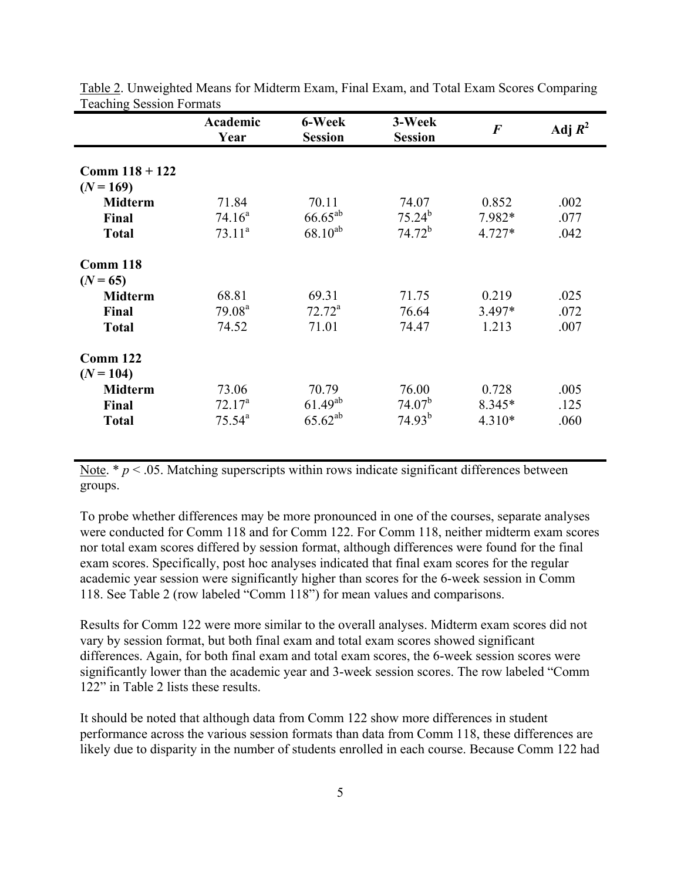|                         | Academic<br>Year   | 6-Week<br><b>Session</b> | 3-Week<br><b>Session</b> | $\boldsymbol{F}$ | Adj $R^2$ |
|-------------------------|--------------------|--------------------------|--------------------------|------------------|-----------|
| Comm $118 + 122$        |                    |                          |                          |                  |           |
| $(N = 169)$             |                    |                          |                          |                  |           |
| <b>Midterm</b>          | 71.84              | 70.11                    | 74.07                    | 0.852            | .002      |
| Final                   | 74.16 <sup>a</sup> | $66.65^{ab}$             | $75.24^{b}$              | 7.982*           | .077      |
| <b>Total</b>            | $73.11^a$          | $68.10^{ab}$             | $74.72^b$                | $4.727*$         | .042      |
| Comm 118                |                    |                          |                          |                  |           |
| $(N = 65)$              |                    |                          |                          |                  |           |
| <b>Midterm</b>          | 68.81              | 69.31                    | 71.75                    | 0.219            | .025      |
| Final                   | 79.08 <sup>a</sup> | $72.72^a$                | 76.64                    | $3.497*$         | .072      |
| <b>Total</b>            | 74.52              | 71.01                    | 74.47                    | 1.213            | .007      |
| Comm 122<br>$(N = 104)$ |                    |                          |                          |                  |           |
| <b>Midterm</b>          | 73.06              | 70.79                    | 76.00                    | 0.728            | .005      |
| Final                   | $72.17^a$          | $61.49^{ab}$             | 74.07 <sup>b</sup>       | 8.345*           | .125      |
| <b>Total</b>            | $75.54^{\circ}$    | $65.62^{ab}$             | $74.93^{b}$              | $4.310*$         | .060      |

Table 2. Unweighted Means for Midterm Exam, Final Exam, and Total Exam Scores Comparing Teaching Session Formats

Note.  $* p < .05$ . Matching superscripts within rows indicate significant differences between groups.

To probe whether differences may be more pronounced in one of the courses, separate analyses were conducted for Comm 118 and for Comm 122. For Comm 118, neither midterm exam scores nor total exam scores differed by session format, although differences were found for the final exam scores. Specifically, post hoc analyses indicated that final exam scores for the regular academic year session were significantly higher than scores for the 6-week session in Comm 118. See Table 2 (row labeled "Comm 118") for mean values and comparisons.

Results for Comm 122 were more similar to the overall analyses. Midterm exam scores did not vary by session format, but both final exam and total exam scores showed significant differences. Again, for both final exam and total exam scores, the 6-week session scores were significantly lower than the academic year and 3-week session scores. The row labeled "Comm 122" in Table 2 lists these results.

It should be noted that although data from Comm 122 show more differences in student performance across the various session formats than data from Comm 118, these differences are likely due to disparity in the number of students enrolled in each course. Because Comm 122 had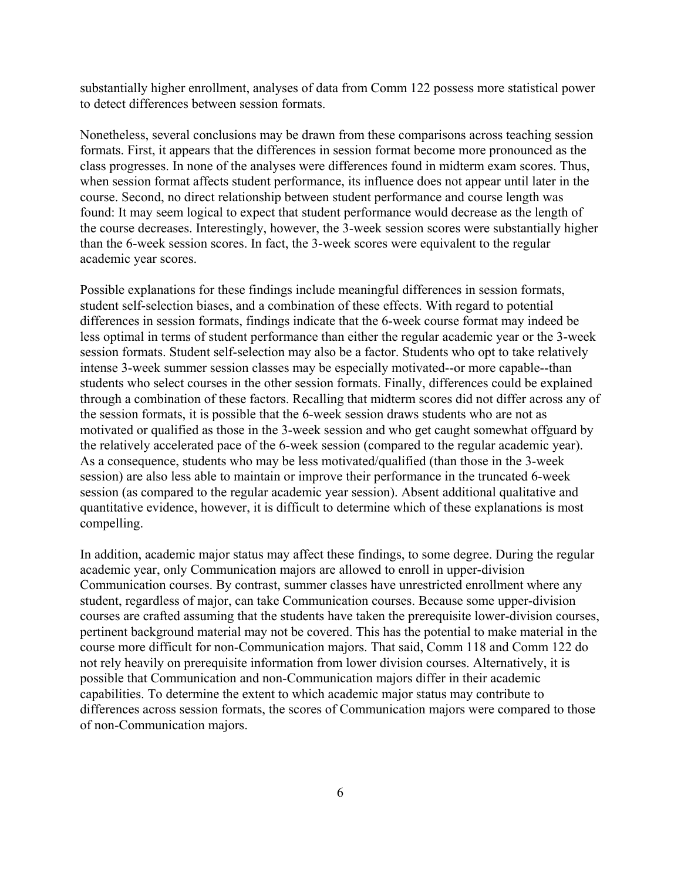substantially higher enrollment, analyses of data from Comm 122 possess more statistical power to detect differences between session formats.

Nonetheless, several conclusions may be drawn from these comparisons across teaching session formats. First, it appears that the differences in session format become more pronounced as the class progresses. In none of the analyses were differences found in midterm exam scores. Thus, when session format affects student performance, its influence does not appear until later in the course. Second, no direct relationship between student performance and course length was found: It may seem logical to expect that student performance would decrease as the length of the course decreases. Interestingly, however, the 3-week session scores were substantially higher than the 6-week session scores. In fact, the 3-week scores were equivalent to the regular academic year scores.

Possible explanations for these findings include meaningful differences in session formats, student self-selection biases, and a combination of these effects. With regard to potential differences in session formats, findings indicate that the 6-week course format may indeed be less optimal in terms of student performance than either the regular academic year or the 3-week session formats. Student self-selection may also be a factor. Students who opt to take relatively intense 3-week summer session classes may be especially motivated--or more capable--than students who select courses in the other session formats. Finally, differences could be explained through a combination of these factors. Recalling that midterm scores did not differ across any of the session formats, it is possible that the 6-week session draws students who are not as motivated or qualified as those in the 3-week session and who get caught somewhat offguard by the relatively accelerated pace of the 6-week session (compared to the regular academic year). As a consequence, students who may be less motivated/qualified (than those in the 3-week session) are also less able to maintain or improve their performance in the truncated 6-week session (as compared to the regular academic year session). Absent additional qualitative and quantitative evidence, however, it is difficult to determine which of these explanations is most compelling.

In addition, academic major status may affect these findings, to some degree. During the regular academic year, only Communication majors are allowed to enroll in upper-division Communication courses. By contrast, summer classes have unrestricted enrollment where any student, regardless of major, can take Communication courses. Because some upper-division courses are crafted assuming that the students have taken the prerequisite lower-division courses, pertinent background material may not be covered. This has the potential to make material in the course more difficult for non-Communication majors. That said, Comm 118 and Comm 122 do not rely heavily on prerequisite information from lower division courses. Alternatively, it is possible that Communication and non-Communication majors differ in their academic capabilities. To determine the extent to which academic major status may contribute to differences across session formats, the scores of Communication majors were compared to those of non-Communication majors.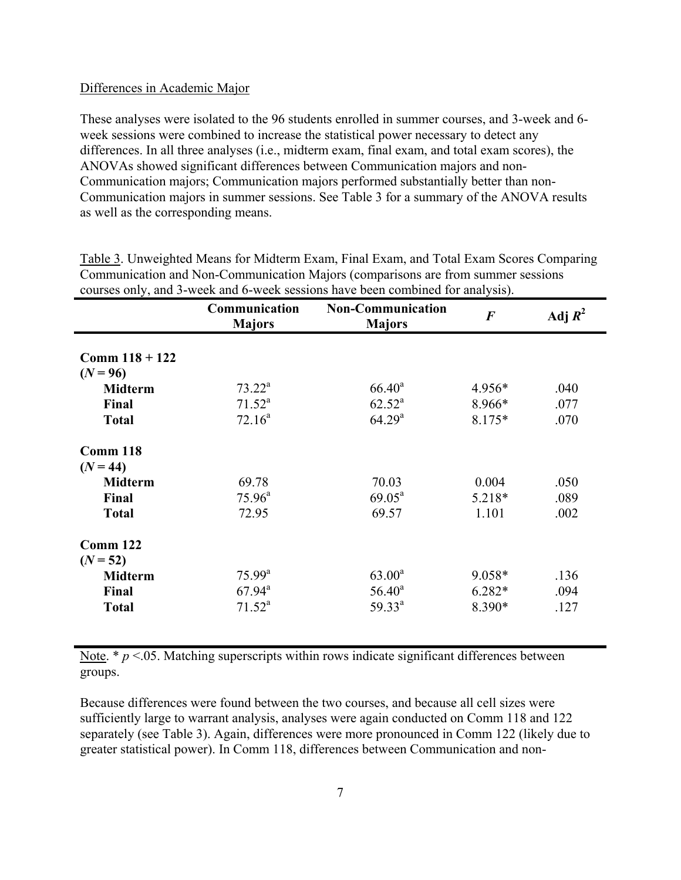## Differences in Academic Major

These analyses were isolated to the 96 students enrolled in summer courses, and 3-week and 6 week sessions were combined to increase the statistical power necessary to detect any differences. In all three analyses (i.e., midterm exam, final exam, and total exam scores), the ANOVAs showed significant differences between Communication majors and non-Communication majors; Communication majors performed substantially better than non-Communication majors in summer sessions. See Table 3 for a summary of the ANOVA results as well as the corresponding means.

|                  | Communication<br><b>Majors</b> | <b>Non-Communication</b><br><b>Majors</b> | $\boldsymbol{F}$ | Adj $R^2$ |
|------------------|--------------------------------|-------------------------------------------|------------------|-----------|
|                  |                                |                                           |                  |           |
| Comm $118 + 122$ |                                |                                           |                  |           |
| $(N = 96)$       |                                |                                           |                  |           |
| <b>Midterm</b>   | $73.22^a$                      | $66.40^a$                                 | 4.956*           | .040      |
| Final            | $71.52^a$                      | $62.52^a$                                 | 8.966*           | .077      |
| <b>Total</b>     | $72.16^a$                      | 64.29 <sup>a</sup>                        | 8.175*           | .070      |
| Comm 118         |                                |                                           |                  |           |
| $(N = 44)$       |                                |                                           |                  |           |
| <b>Midterm</b>   | 69.78                          | 70.03                                     | 0.004            | .050      |
| Final            | $75.96^{\text{a}}$             | $69.05^{\text{a}}$                        | 5.218*           | .089      |
| <b>Total</b>     | 72.95                          | 69.57                                     | 1.101            | .002      |
| <b>Comm 122</b>  |                                |                                           |                  |           |
| $(N = 52)$       |                                |                                           |                  |           |
| <b>Midterm</b>   | $75.99^{\text{a}}$             | $63.00^a$                                 | $9.058*$         | .136      |
| Final            | $67.94^{\text{a}}$             | $56.40^a$                                 | $6.282*$         | .094      |
| <b>Total</b>     | $71.52^a$                      | $59.33^{a}$                               | 8.390*           | .127      |

Table 3. Unweighted Means for Midterm Exam, Final Exam, and Total Exam Scores Comparing Communication and Non-Communication Majors (comparisons are from summer sessions courses only, and 3-week and 6-week sessions have been combined for analysis).

Note.  $* p < 0.05$ . Matching superscripts within rows indicate significant differences between groups.

Because differences were found between the two courses, and because all cell sizes were sufficiently large to warrant analysis, analyses were again conducted on Comm 118 and 122 separately (see Table 3). Again, differences were more pronounced in Comm 122 (likely due to greater statistical power). In Comm 118, differences between Communication and non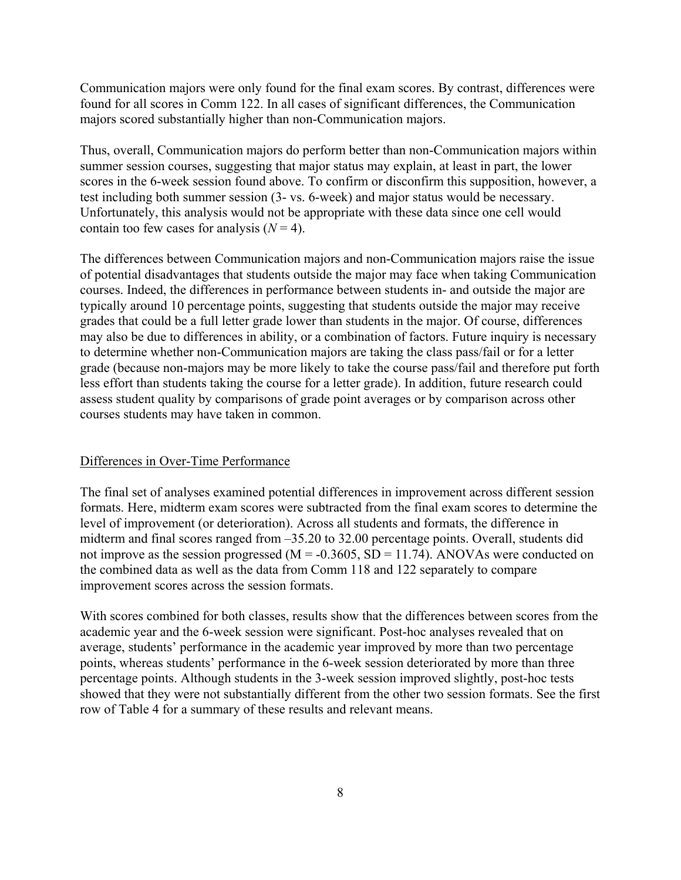Communication majors were only found for the final exam scores. By contrast, differences were found for all scores in Comm 122. In all cases of significant differences, the Communication majors scored substantially higher than non-Communication majors.

Thus, overall, Communication majors do perform better than non-Communication majors within summer session courses, suggesting that major status may explain, at least in part, the lower scores in the 6-week session found above. To confirm or disconfirm this supposition, however, a test including both summer session (3- vs. 6-week) and major status would be necessary. Unfortunately, this analysis would not be appropriate with these data since one cell would contain too few cases for analysis  $(N = 4)$ .

The differences between Communication majors and non-Communication majors raise the issue of potential disadvantages that students outside the major may face when taking Communication courses. Indeed, the differences in performance between students in- and outside the major are typically around 10 percentage points, suggesting that students outside the major may receive grades that could be a full letter grade lower than students in the major. Of course, differences may also be due to differences in ability, or a combination of factors. Future inquiry is necessary to determine whether non-Communication majors are taking the class pass/fail or for a letter grade (because non-majors may be more likely to take the course pass/fail and therefore put forth less effort than students taking the course for a letter grade). In addition, future research could assess student quality by comparisons of grade point averages or by comparison across other courses students may have taken in common.

## Differences in Over-Time Performance

The final set of analyses examined potential differences in improvement across different session formats. Here, midterm exam scores were subtracted from the final exam scores to determine the level of improvement (or deterioration). Across all students and formats, the difference in midterm and final scores ranged from –35.20 to 32.00 percentage points. Overall, students did not improve as the session progressed ( $M = -0.3605$ ,  $SD = 11.74$ ). ANOVAs were conducted on the combined data as well as the data from Comm 118 and 122 separately to compare improvement scores across the session formats.

With scores combined for both classes, results show that the differences between scores from the academic year and the 6-week session were significant. Post-hoc analyses revealed that on average, students' performance in the academic year improved by more than two percentage points, whereas students' performance in the 6-week session deteriorated by more than three percentage points. Although students in the 3-week session improved slightly, post-hoc tests showed that they were not substantially different from the other two session formats. See the first row of Table 4 for a summary of these results and relevant means.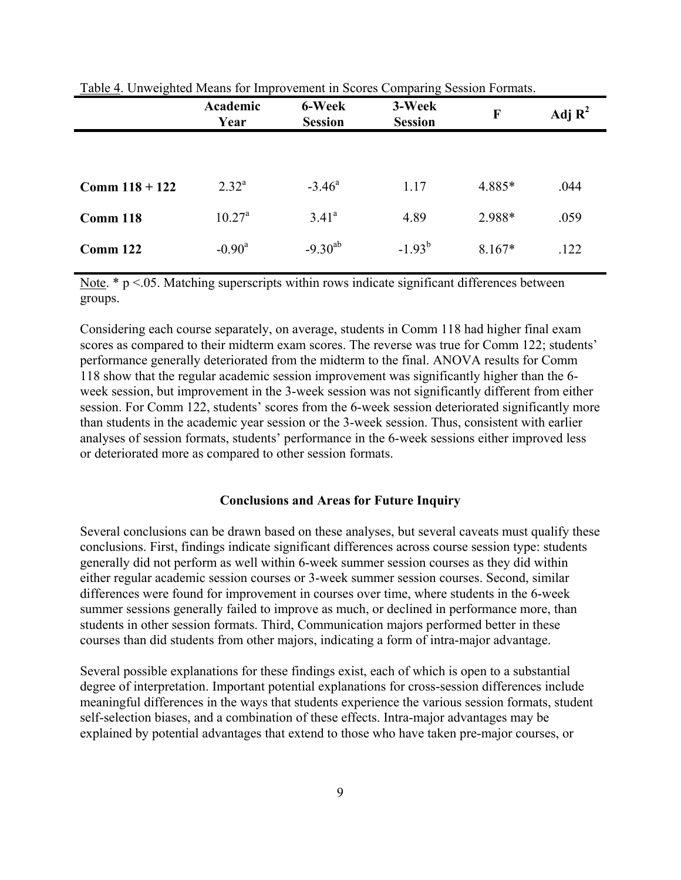|                  | Academic<br>Year | 6-Week<br><b>Session</b> | 3-Week<br><b>Session</b> | F        | Adj $\mathbf{R}^2$ |
|------------------|------------------|--------------------------|--------------------------|----------|--------------------|
|                  |                  |                          |                          |          |                    |
| Comm $118 + 122$ | $2.32^{a}$       | $-3.46^{\circ}$          | 1.17                     | 4.885*   | .044               |
| Comm 118         | $10.27^{\rm a}$  | $3.41^{\circ}$           | 4.89                     | 2.988*   | .059               |
| Comm 122         | $-0.90^a$        | $-9.30^{ab}$             | $-1.93^{b}$              | $8.167*$ | .122               |

Table 4. Unweighted Means for Improvement in Scores Comparing Session Formats.

Note.  $* p \le 0.05$ . Matching superscripts within rows indicate significant differences between groups.

Considering each course separately, on average, students in Comm 118 had higher final exam scores as compared to their midterm exam scores. The reverse was true for Comm 122; students' performance generally deteriorated from the midterm to the final. ANOVA results for Comm 118 show that the regular academic session improvement was significantly higher than the 6 week session, but improvement in the 3-week session was not significantly different from either session. For Comm 122, students' scores from the 6-week session deteriorated significantly more than students in the academic year session or the 3-week session. Thus, consistent with earlier analyses of session formats, students' performance in the 6-week sessions either improved less or deteriorated more as compared to other session formats.

### **Conclusions and Areas for Future Inquiry**

Several conclusions can be drawn based on these analyses, but several caveats must qualify these conclusions. First, findings indicate significant differences across course session type: students generally did not perform as well within 6-week summer session courses as they did within either regular academic session courses or 3-week summer session courses. Second, similar differences were found for improvement in courses over time, where students in the 6-week summer sessions generally failed to improve as much, or declined in performance more, than students in other session formats. Third, Communication majors performed better in these courses than did students from other majors, indicating a form of intra-major advantage.

Several possible explanations for these findings exist, each of which is open to a substantial degree of interpretation. Important potential explanations for cross-session differences include meaningful differences in the ways that students experience the various session formats, student self-selection biases, and a combination of these effects. Intra-major advantages may be explained by potential advantages that extend to those who have taken pre-major courses, or